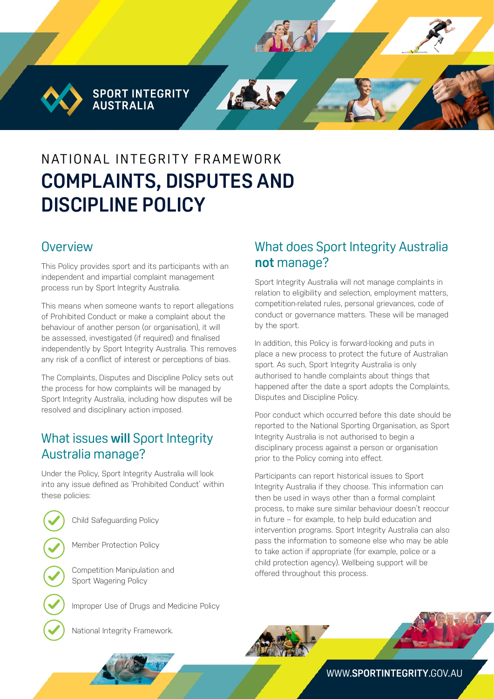**SPORT INTEGRITY AUSTRALIA** 

# N AT IONAL INTEGRITY FRAMEWORK **COMPLAINTS, DISPUTES AND DISCIPLINE POLICY**

#### **Overview**

This Policy provides sport and its participants with an independent and impartial complaint management process run by Sport Integrity Australia.

This means when someone wants to report allegations of Prohibited Conduct or make a complaint about the behaviour of another person (or organisation), it will be assessed, investigated (if required) and finalised independently by Sport Integrity Australia. This removes any risk of a conflict of interest or perceptions of bias.

The Complaints, Disputes and Discipline Policy sets out the process for how complaints will be managed by Sport Integrity Australia, including how disputes will be resolved and disciplinary action imposed.

## What issues **will** Sport Integrity Australia manage?

Under the Policy, Sport Integrity Australia will look into any issue defined as 'Prohibited Conduct' within these policies:

Child Safeguarding Policy

Member Protection Policy

Competition Manipulation and Sport Wagering Policy

Improper Use of Drugs and Medicine Policy

National Integrity Framework.

## What does Sport Integrity Australia **not** manage?

Sport Integrity Australia will not manage complaints in relation to eligibility and selection, employment matters, competition-related rules, personal grievances, code of conduct or governance matters. These will be managed by the sport.

In addition, this Policy is forward-looking and puts in place a new process to protect the future of Australian sport. As such, Sport Integrity Australia is only authorised to handle complaints about things that happened after the date a sport adopts the Complaints, Disputes and Discipline Policy.

Poor conduct which occurred before this date should be reported to the National Sporting Organisation, as Sport Integrity Australia is not authorised to begin a disciplinary process against a person or organisation prior to the Policy coming into effect.

Participants can report historical issues to Sport Integrity Australia if they choose. This information can then be used in ways other than a formal complaint process, to make sure similar behaviour doesn't reoccur in future – for example, to help build education and intervention programs. Sport Integrity Australia can also pass the information to someone else who may be able to take action if appropriate (for example, police or a child protection agency). Wellbeing support will be offered throughout this process.





WWW.**[SPORTINTEGRITY](http://www.sportintegrity.gov.au)**.GOV.AU